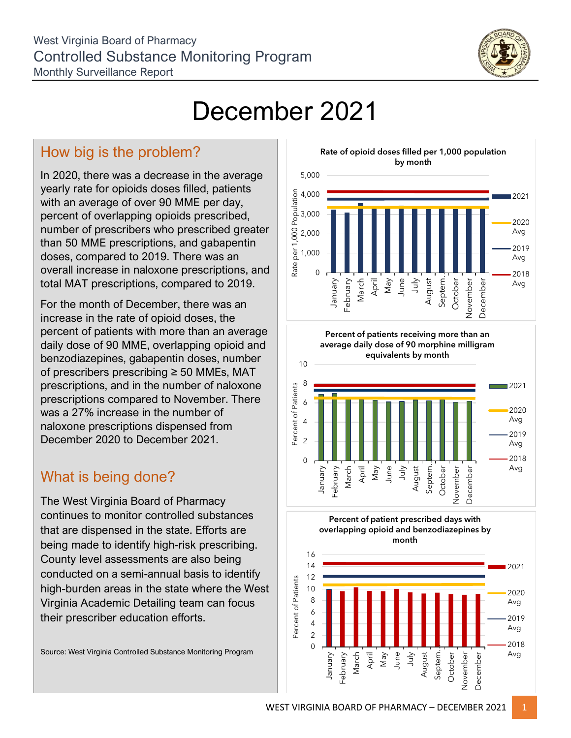

## December 2021

## How big is the problem?

In 2020, there was a decrease in the average yearly rate for opioids doses filled, patients with an average of over 90 MME per day, percent of overlapping opioids prescribed, number of prescribers who prescribed greater than 50 MME prescriptions, and gabapentin doses, compared to 2019. There was an overall increase in naloxone prescriptions, and total MAT prescriptions, compared to 2019.

For the month of December, there was an increase in the rate of opioid doses, the percent of patients with more than an average daily dose of 90 MME, overlapping opioid and benzodiazepines, gabapentin doses, number of prescribers prescribing ≥ 50 MMEs, MAT prescriptions, and in the number of naloxone prescriptions compared to November. There was a 27% increase in the number of naloxone prescriptions dispensed from December 2020 to December 2021.

## What is being done?

The West Virginia Board of Pharmacy continues to monitor controlled substances that are dispensed in the state. Efforts are being made to identify high-risk prescribing. County level assessments are also being conducted on a semi-annual basis to identify high-burden areas in the state where the West Virginia Academic Detailing team can focus their prescriber education efforts.

Source: West Virginia Controlled Substance Monitoring Program



**Percent of patients receiving more than an average daily dose of 90 morphine milligram equivalents by month**